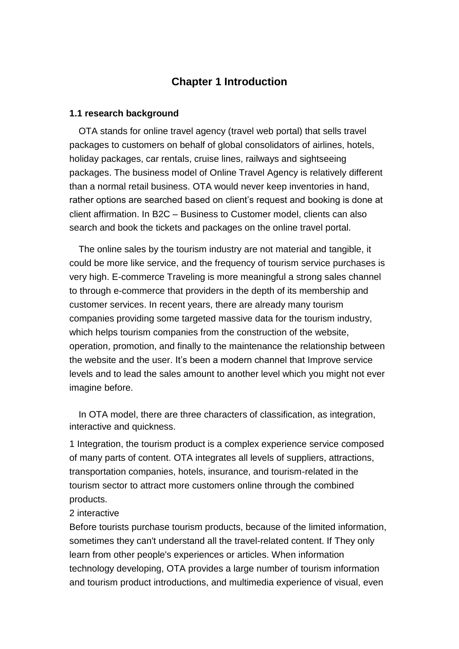## **Chapter 1 Introduction**

## **1.1 research background**

OTA stands for online travel agency [\(travel web portal\)](http://www.provab.com/) that sells travel packages to customers on behalf of global consolidators of airlines, hotels, holiday packages, car rentals, cruise lines, railways and sightseeing packages. The business model of [Online Travel Agency](http://www.provab.com/) is relatively different than a normal retail business. OTA would never keep inventories in hand, rather options are searched based on client's request and booking is done at client affirmation. In B2C – Business to Customer model, clients can also search and book the tickets and packages on the online travel portal.

The online sales by the tourism industry are not material and tangible, it could be more like service, and the frequency of tourism service purchases is very high. E-commerce Traveling is more meaningful a strong sales channel to through e-commerce that providers in the depth of its membership and customer services. In recent years, there are already many tourism companies providing some targeted massive data for the tourism industry, which helps tourism companies from the construction of the website, operation, promotion, and finally to the maintenance the relationship between the website and the user. It's been a modern channel that Improve service levels and to lead the sales amount to another level which you might not ever imagine before.

In OTA model, there are three characters of classification, as integration, interactive and quickness.

1 Integration, the tourism product is a complex experience service composed of many parts of content. OTA integrates all levels of suppliers, attractions, transportation companies, hotels, insurance, and tourism-related in the tourism sector to attract more customers online through the combined products.

## 2 interactive

Before tourists purchase tourism products, because of the limited information, sometimes they can't understand all the travel-related content. If They only learn from other people's experiences or articles. When information technology developing, OTA provides a large number of tourism information and tourism product introductions, and multimedia experience of visual, even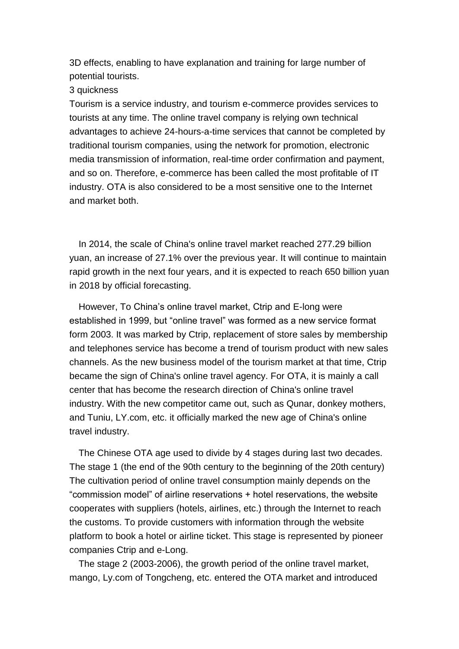3D effects, enabling to have explanation and training for large number of potential tourists.

3 quickness

Tourism is a service industry, and tourism e-commerce provides services to tourists at any time. The online travel company is relying own technical advantages to achieve 24-hours-a-time services that cannot be completed by traditional tourism companies, using the network for promotion, electronic media transmission of information, real-time order confirmation and payment, and so on. Therefore, e-commerce has been called the most profitable of IT industry. OTA is also considered to be a most sensitive one to the Internet and market both.

In 2014, the scale of China's online travel market reached 277.29 billion yuan, an increase of 27.1% over the previous year. It will continue to maintain rapid growth in the next four years, and it is expected to reach 650 billion yuan in 2018 by official forecasting.

However, To China's online travel market, Ctrip and E-long were established in 1999, but "online travel" was formed as a new service format form 2003. It was marked by Ctrip, replacement of store sales by membership and telephones service has become a trend of tourism product with new sales channels. As the new business model of the tourism market at that time, Ctrip became the sign of China's online travel agency. For OTA, it is mainly a call center that has become the research direction of China's online travel industry. With the new competitor came out, such as Qunar, donkey mothers, and Tuniu, LY.com, etc. it officially marked the new age of China's online travel industry.

The Chinese OTA age used to divide by 4 stages during last two decades. The stage 1 (the end of the 90th century to the beginning of the 20th century) The cultivation period of online travel consumption mainly depends on the "commission model" of airline reservations + hotel reservations, the website cooperates with suppliers (hotels, airlines, etc.) through the Internet to reach the customs. To provide customers with information through the website platform to book a hotel or airline ticket. This stage is represented by pioneer companies Ctrip and e-Long.

 The stage 2 (2003-2006), the growth period of the online travel market, mango, Ly.com of Tongcheng, etc. entered the OTA market and introduced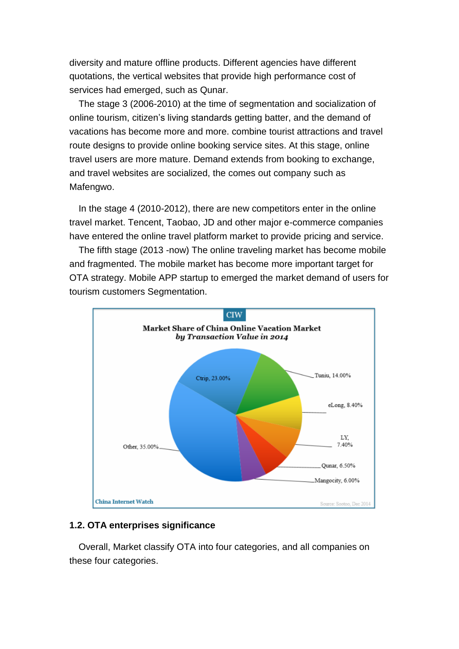diversity and mature offline products. Different agencies have different quotations, the vertical websites that provide high performance cost of services had emerged, such as Qunar.

 The stage 3 (2006-2010) at the time of segmentation and socialization of online tourism, citizen's living standards getting batter, and the demand of vacations has become more and more. combine tourist attractions and travel route designs to provide online booking service sites. At this stage, online travel users are more mature. Demand extends from booking to exchange, and travel websites are socialized, the comes out company such as Mafengwo.

In the stage 4 (2010-2012), there are new competitors enter in the online travel market. Tencent, Taobao, JD and other major e-commerce companies have entered the online travel platform market to provide pricing and service.

 The fifth stage (2013 -now) The online traveling market has become mobile and fragmented. The mobile market has become more important target for OTA strategy. Mobile APP startup to emerged the market demand of users for tourism customers Segmentation.



## **1.2. OTA enterprises significance**

Overall, Market classify OTA into four categories, and all companies on these four categories.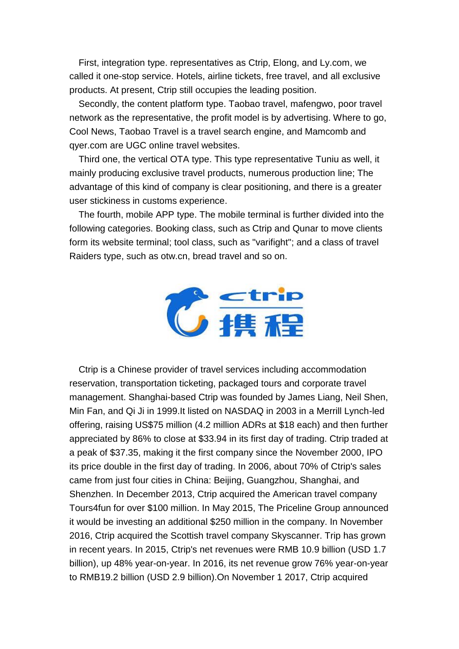First, integration type. representatives as Ctrip, Elong, and Ly.com, we called it one-stop service. Hotels, airline tickets, free travel, and all exclusive products. At present, Ctrip still occupies the leading position.

 Secondly, the content platform type. Taobao travel, mafengwo, poor travel network as the representative, the profit model is by advertising. Where to go, Cool News, Taobao Travel is a travel search engine, and Mamcomb and qyer.com are UGC online travel websites.

 Third one, the vertical OTA type. This type representative Tuniu as well, it mainly producing exclusive travel products, numerous production line; The advantage of this kind of company is clear positioning, and there is a greater user stickiness in customs experience.

 The fourth, mobile APP type. The mobile terminal is further divided into the following categories. Booking class, such as Ctrip and Qunar to move clients form its website terminal; tool class, such as "varifight"; and a class of travel Raiders type, such as otw.cn, bread travel and so on.



Ctrip is a Chinese provider of travel services including accommodation reservation, transportation ticketing, packaged tours and corporate travel management. Shanghai-based Ctrip was founded by James Liang, Neil Shen, Min Fan, and Qi Ji in 1999.It listed on NASDAQ in 2003 in a Merrill Lynch-led offering, raising US\$75 million (4.2 million ADRs at \$18 each) and then further appreciated by 86% to close at \$33.94 in its first day of trading. Ctrip traded at a peak of \$37.35, making it the first company since the November 2000, IPO its price double in the first day of trading. In 2006, about 70% of Ctrip's sales came from just four cities in China: Beijing, Guangzhou, Shanghai, and Shenzhen. In December 2013, Ctrip acquired the American travel company Tours4fun for over \$100 million. In May 2015, The Priceline Group announced it would be investing an additional \$250 million in the company. In November 2016, Ctrip acquired the Scottish travel company Skyscanner. Trip has grown in recent years. In 2015, Ctrip's net revenues were RMB 10.9 billion (USD 1.7 billion), up 48% year-on-year. In 2016, its net revenue grow 76% year-on-year to RMB19.2 billion (USD 2.9 billion).On November 1 2017, Ctrip acquired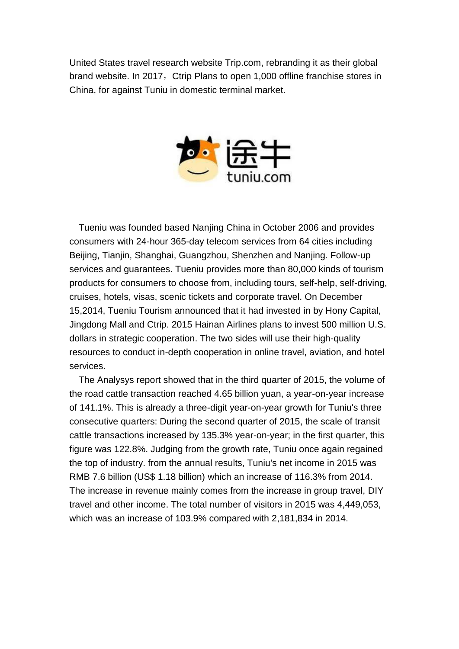United States travel research website Trip.com, rebranding it as their global brand website. In 2017, Ctrip Plans to open 1,000 offline franchise stores in China, for against Tuniu in domestic terminal market.



Tueniu was founded based Nanjing China in October 2006 and provides consumers with 24-hour 365-day telecom services from 64 cities including Beijing, Tianjin, Shanghai, Guangzhou, Shenzhen and Nanjing. Follow-up services and guarantees. Tueniu provides more than 80,000 kinds of tourism products for consumers to choose from, including tours, self-help, self-driving, cruises, hotels, visas, scenic tickets and corporate travel. On December 15,2014, Tueniu Tourism announced that it had invested in by Hony Capital, Jingdong Mall and Ctrip. 2015 Hainan Airlines plans to invest 500 million U.S. dollars in strategic cooperation. The two sides will use their high-quality resources to conduct in-depth cooperation in online travel, aviation, and hotel services.

 The Analysys report showed that in the third quarter of 2015, the volume of the road cattle transaction reached 4.65 billion yuan, a year-on-year increase of 141.1%. This is already a three-digit year-on-year growth for Tuniu's three consecutive quarters: During the second quarter of 2015, the scale of transit cattle transactions increased by 135.3% year-on-year; in the first quarter, this figure was 122.8%. Judging from the growth rate, Tuniu once again regained the top of industry. from the annual results, Tuniu's net income in 2015 was RMB 7.6 billion (US\$ 1.18 billion) which an increase of 116.3% from 2014. The increase in revenue mainly comes from the increase in group travel, DIY travel and other income. The total number of visitors in 2015 was 4,449,053, which was an increase of 103.9% compared with 2,181,834 in 2014.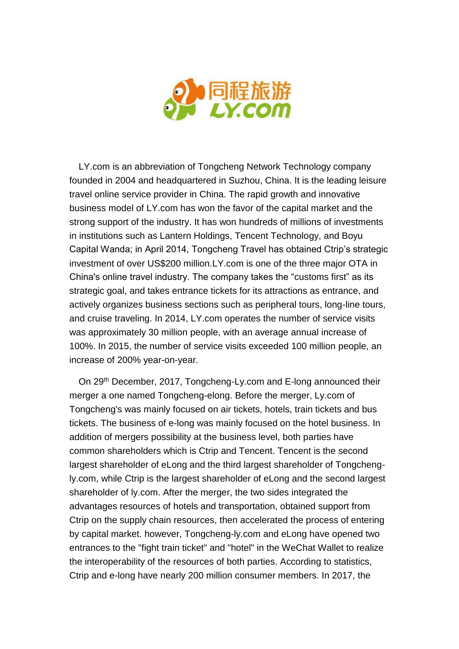

LY.com is an abbreviation of Tongcheng Network Technology company founded in 2004 and headquartered in Suzhou, China. It is the leading leisure travel online service provider in China. The rapid growth and innovative business model of LY.com has won the favor of the capital market and the strong support of the industry. It has won hundreds of millions of investments in institutions such as Lantern Holdings, Tencent Technology, and Boyu Capital Wanda; in April 2014, Tongcheng Travel has obtained Ctrip's strategic investment of over US\$200 million.LY.com is one of the three major OTA in China's online travel industry. The company takes the "customs first" as its strategic goal, and takes entrance tickets for its attractions as entrance, and actively organizes business sections such as peripheral tours, long-line tours, and cruise traveling. In 2014, LY.com operates the number of service visits was approximately 30 million people, with an average annual increase of 100%. In 2015, the number of service visits exceeded 100 million people, an increase of 200% year-on-year.

On 29<sup>th</sup> December, 2017, Tongcheng-Ly.com and E-long announced their merger a one named Tongcheng-elong. Before the merger, Ly.com of Tongcheng's was mainly focused on air tickets, hotels, train tickets and bus tickets. The business of e-long was mainly focused on the hotel business. In addition of mergers possibility at the business level, both parties have common shareholders which is Ctrip and Tencent. Tencent is the second largest shareholder of eLong and the third largest shareholder of Tongchengly.com, while Ctrip is the largest shareholder of eLong and the second largest shareholder of ly.com. After the merger, the two sides integrated the advantages resources of hotels and transportation, obtained support from Ctrip on the supply chain resources, then accelerated the process of entering by capital market. however, Tongcheng-ly.com and eLong have opened two entrances to the "fight train ticket" and "hotel" in the WeChat Wallet to realize the interoperability of the resources of both parties. According to statistics, Ctrip and e-long have nearly 200 million consumer members. In 2017, the